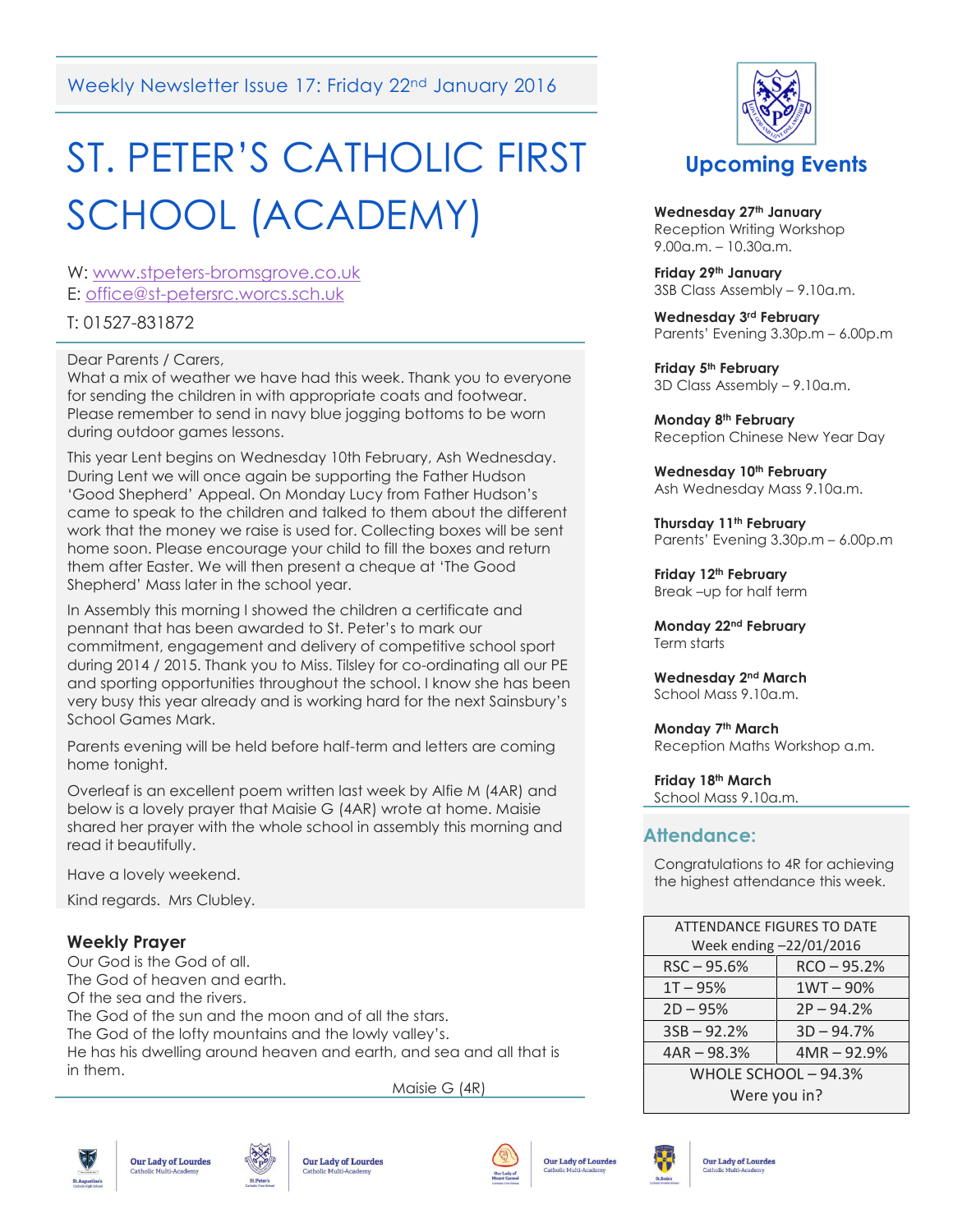Weekly Newsletter Issue 17: Friday 22<sup>nd</sup> January 2016

# ST. PETER'S CATHOLIC FIRST SCHOOL (ACADEMY)

W: [www.stpeters-bromsgrove.co.uk](http://www.stpeters-bromsgrove.co.uk/) E: [office@st-petersrc.worcs.sch.uk](mailto:office@st-petersrc.worcs.sch.uk)

T: 01527-831872

Dear Parents / Carers,

What a mix of weather we have had this week. Thank you to everyone for sending the children in with appropriate coats and footwear. Please remember to send in navy blue jogging bottoms to be worn during outdoor games lessons.

This year Lent begins on Wednesday 10th February, Ash Wednesday. During Lent we will once again be supporting the Father Hudson 'Good Shepherd' Appeal. On Monday Lucy from Father Hudson's came to speak to the children and talked to them about the different work that the money we raise is used for. Collecting boxes will be sent home soon. Please encourage your child to fill the boxes and return them after Easter. We will then present a cheque at 'The Good Shepherd' Mass later in the school year.

In Assembly this morning I showed the children a certificate and pennant that has been awarded to St. Peter's to mark our commitment, engagement and delivery of competitive school sport during 2014 / 2015. Thank you to Miss. Tilsley for co-ordinating all our PE and sporting opportunities throughout the school. I know she has been very busy this year already and is working hard for the next Sainsbury's School Games Mark.

Parents evening will be held before half-term and letters are coming home tonight.

Overleaf is an excellent poem written last week by Alfie M (4AR) and below is a lovely prayer that Maisie G (4AR) wrote at home. Maisie shared her prayer with the whole school in assembly this morning and read it beautifully.

Have a lovely weekend.

Kind regards. Mrs Clubley.

# **Weekly Prayer**

Our God is the God of all. The God of heaven and earth. Of the sea and the rivers. The God of the sun and the moon and of all the stars. The God of the lofty mountains and the lowly valley's. He has his dwelling around heaven and earth, and sea and all that is in them.

Maisie G (4R)













**Wednesday 27th January** Reception Writing Workshop 9.00a.m. – 10.30a.m.

**Friday 29th January**  3SB Class Assembly – 9.10a.m.

**Wednesday 3rd February** Parents' Evening 3.30p.m – 6.00p.m

**Friday 5th February** 3D Class Assembly – 9.10a.m.

**Monday 8th February** Reception Chinese New Year Day

**Wednesday 10th February** Ash Wednesday Mass 9.10a.m.

**Thursday 11th February** Parents' Evening 3.30p.m – 6.00p.m

**Friday 12th February** Break –up for half term

**Monday 22nd February** Term starts

**Wednesday 2nd March**  School Mass 9.10a.m.

**Monday 7th March** Reception Maths Workshop a.m.

**Friday 18th March**  School Mass 9.10a.m.

## **Attendance:**

Congratulations to 4R for achieving the highest attendance this week.

| <b>ATTENDANCE FIGURES TO DATE</b> |               |
|-----------------------------------|---------------|
| Week ending -22/01/2016           |               |
| $RSC - 95.6%$                     | $RCO - 95.2%$ |
| $1T - 95%$                        | $1WT - 90%$   |
| $2D - 95%$                        | $2P - 94.2%$  |
| $3SB - 92.2%$                     | $3D - 94.7%$  |
| $4AR - 98.3%$                     | $4MR - 92.9%$ |
| WHOLE SCHOOL - 94.3%              |               |
| Were you in?                      |               |